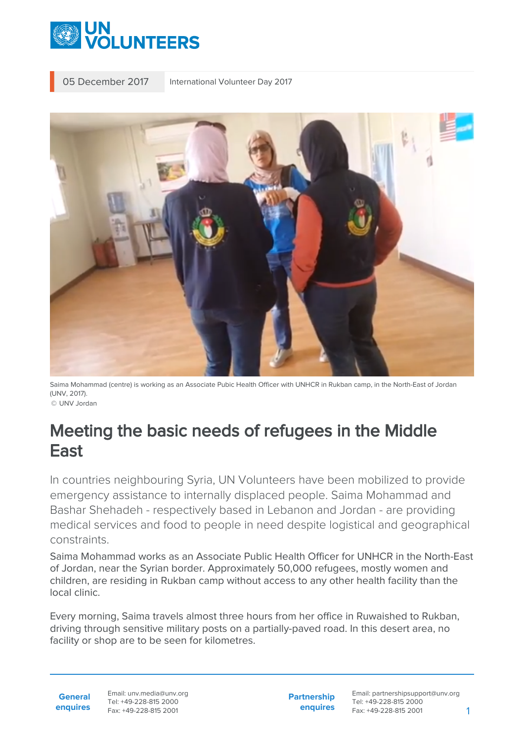

05 December 2017 International Volunteer Day 2017



Saima Mohammad (centre) is working as an Associate Pubic Health Officer with UNHCR in Rukban camp, in the North-East of Jordan (UNV, 2017).

© UNV Jordan

## Meeting the basic needs of refugees in the Middle East

In countries neighbouring Syria, UN Volunteers have been mobilized to provide emergency assistance to internally displaced people. Saima Mohammad and Bashar Shehadeh - respectively based in Lebanon and Jordan - are providing medical services and food to people in need despite logistical and geographical constraints.

Saima Mohammad works as an Associate Public Health Officer for UNHCR in the North-East of Jordan, near the Syrian border. Approximately 50,000 refugees, mostly women and children, are residing in Rukban camp without access to any other health facility than the local clinic.

Every morning, Saima travels almost three hours from her office in Ruwaished to Rukban, driving through sensitive military posts on a partially-paved road. In this desert area, no facility or shop are to be seen for kilometres.

**General enquires** Email: unv.media@unv.org Tel: +49-228-815 2000 Fax: +49-228-815 2001

**Partnership enquires**

Email: partnershipsupport@unv.org Tel: +49-228-815 2000 Fax: +49-228-815 2001 1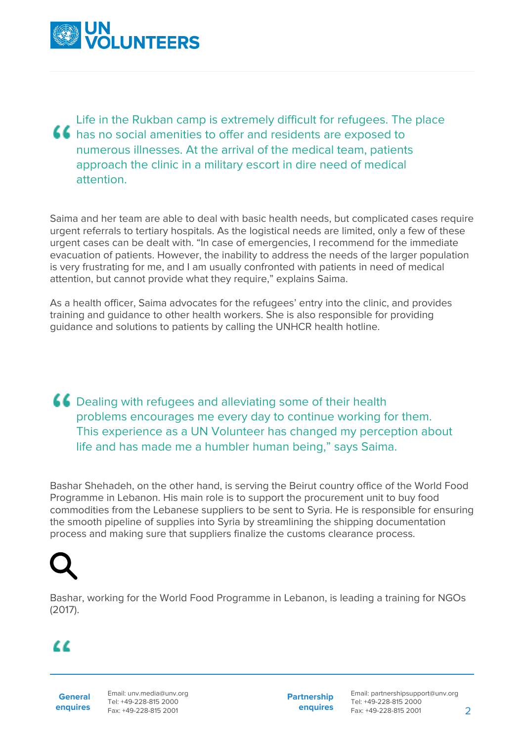

Life in the Rukban camp is extremely difficult for refugees. The place **44** has no social amenities to offer and residents are exposed to numerous illnesses. At the arrival of the medical team, patients approach the clinic in a military escort in dire need of medical attention.

Saima and her team are able to deal with basic health needs, but complicated cases require urgent referrals to tertiary hospitals. As the logistical needs are limited, only a few of these urgent cases can be dealt with. "In case of emergencies, I recommend for the immediate evacuation of patients. However, the inability to address the needs of the larger population is very frustrating for me, and I am usually confronted with patients in need of medical attention, but cannot provide what they require," explains Saima.

As a health officer, Saima advocates for the refugees' entry into the clinic, and provides training and guidance to other health workers. She is also responsible for providing guidance and solutions to patients by calling the UNHCR health hotline.

**CC** Dealing with refugees and alleviating some of their health problems encourages me every day to continue working for them. This experience as a UN Volunteer has changed my perception about life and has made me a humbler human being," says Saima.

Bashar Shehadeh, on the other hand, is serving the Beirut country office of the World Food Programme in Lebanon. His main role is to support the procurement unit to buy food commodities from the Lebanese suppliers to be sent to Syria. He is responsible for ensuring the smooth pipeline of supplies into Syria by streamlining the shipping documentation process and making sure that suppliers finalize the customs clearance process.



Bashar, working for the World Food Programme in Lebanon, is leading a training for NGOs (2017).

## $\alpha$

**General enquires** **Partnership enquires**